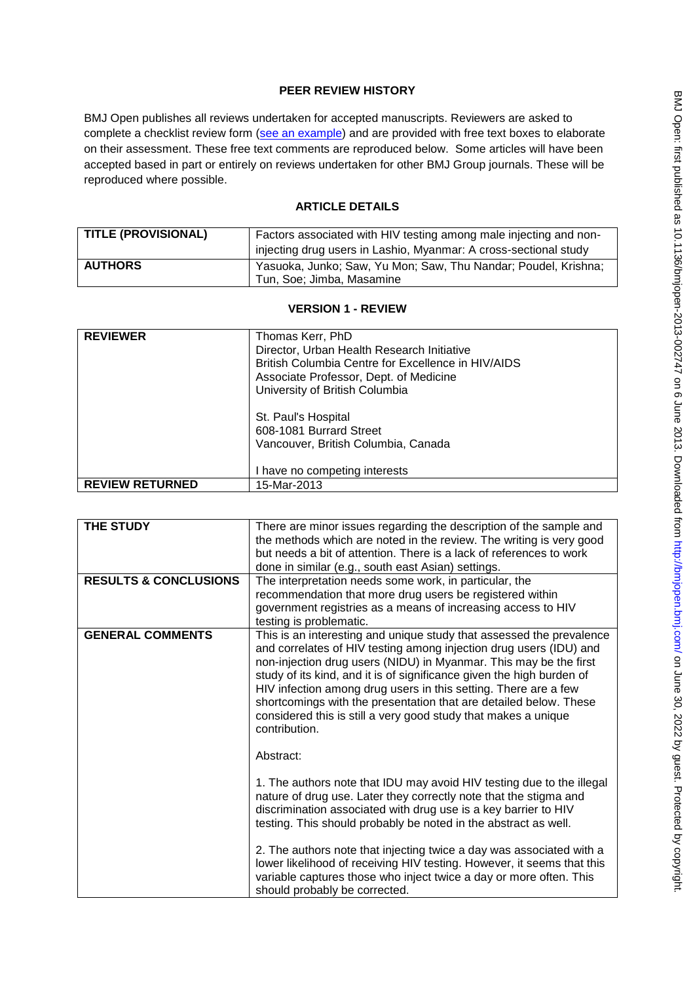# **PEER REVIEW HISTORY**

BMJ Open publishes all reviews undertaken for accepted manuscripts. Reviewers are asked to complete a checklist review form [\(see an example\)](http://bmjopen.bmj.com/site/about/resources/ScholarOne_Manuscripts.pdf) and are provided with free text boxes to elaborate on their assessment. These free text comments are reproduced below. Some articles will have been accepted based in part or entirely on reviews undertaken for other BMJ Group journals. These will be reproduced where possible.

# **ARTICLE DETAILS**

| <b>TITLE (PROVISIONAL)</b> | Factors associated with HIV testing among male injecting and non-<br>injecting drug users in Lashio, Myanmar: A cross-sectional study |
|----------------------------|---------------------------------------------------------------------------------------------------------------------------------------|
| <b>AUTHORS</b>             | Yasuoka, Junko; Saw, Yu Mon; Saw, Thu Nandar; Poudel, Krishna;<br>Tun, Soe; Jimba, Masamine                                           |

## **VERSION 1 - REVIEW**

| <b>REVIEWER</b>        | Thomas Kerr, PhD                                   |
|------------------------|----------------------------------------------------|
|                        | Director, Urban Health Research Initiative         |
|                        | British Columbia Centre for Excellence in HIV/AIDS |
|                        | Associate Professor, Dept. of Medicine             |
|                        | University of British Columbia                     |
|                        |                                                    |
|                        | St. Paul's Hospital                                |
|                        | 608-1081 Burrard Street                            |
|                        | Vancouver, British Columbia, Canada                |
|                        |                                                    |
|                        | I have no competing interests                      |
| <b>REVIEW RETURNED</b> | 15-Mar-2013                                        |

| THE STUDY                        | There are minor issues regarding the description of the sample and<br>the methods which are noted in the review. The writing is very good<br>but needs a bit of attention. There is a lack of references to work<br>done in similar (e.g., south east Asian) settings.                                                                                                                                                                                                                                              |
|----------------------------------|---------------------------------------------------------------------------------------------------------------------------------------------------------------------------------------------------------------------------------------------------------------------------------------------------------------------------------------------------------------------------------------------------------------------------------------------------------------------------------------------------------------------|
| <b>RESULTS &amp; CONCLUSIONS</b> | The interpretation needs some work, in particular, the<br>recommendation that more drug users be registered within                                                                                                                                                                                                                                                                                                                                                                                                  |
|                                  | government registries as a means of increasing access to HIV<br>testing is problematic.                                                                                                                                                                                                                                                                                                                                                                                                                             |
| <b>GENERAL COMMENTS</b>          | This is an interesting and unique study that assessed the prevalence<br>and correlates of HIV testing among injection drug users (IDU) and<br>non-injection drug users (NIDU) in Myanmar. This may be the first<br>study of its kind, and it is of significance given the high burden of<br>HIV infection among drug users in this setting. There are a few<br>shortcomings with the presentation that are detailed below. These<br>considered this is still a very good study that makes a unique<br>contribution. |
|                                  | Abstract:                                                                                                                                                                                                                                                                                                                                                                                                                                                                                                           |
|                                  | 1. The authors note that IDU may avoid HIV testing due to the illegal<br>nature of drug use. Later they correctly note that the stigma and<br>discrimination associated with drug use is a key barrier to HIV<br>testing. This should probably be noted in the abstract as well.                                                                                                                                                                                                                                    |
|                                  | 2. The authors note that injecting twice a day was associated with a<br>lower likelihood of receiving HIV testing. However, it seems that this<br>variable captures those who inject twice a day or more often. This<br>should probably be corrected.                                                                                                                                                                                                                                                               |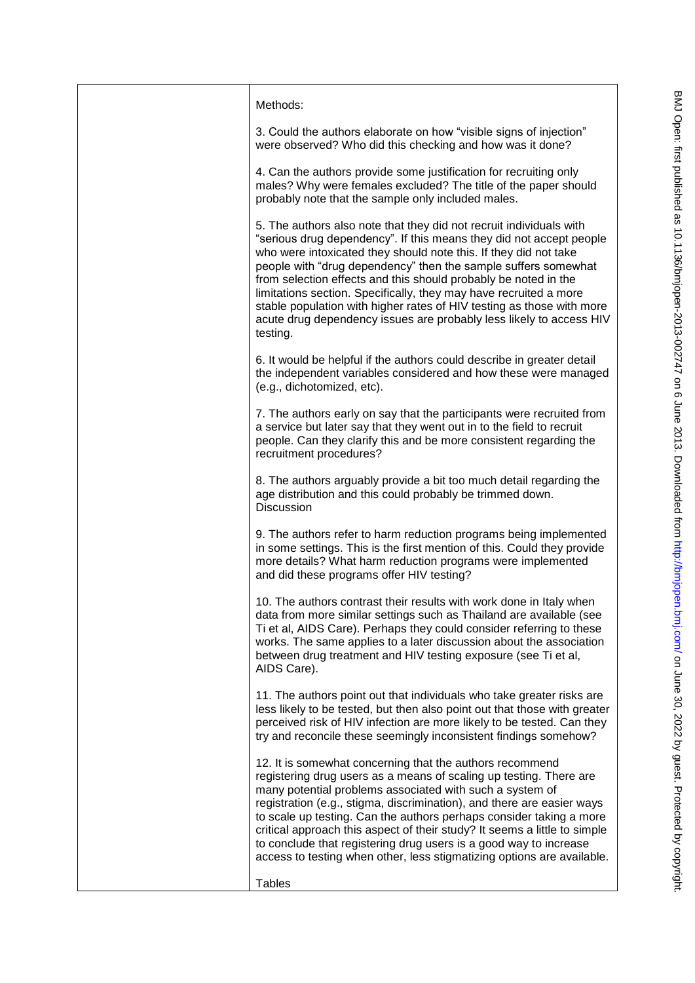| Methods:                                                                                                                                                                                                                                                                                                                                                                                                                                                                                                                                                                             |
|--------------------------------------------------------------------------------------------------------------------------------------------------------------------------------------------------------------------------------------------------------------------------------------------------------------------------------------------------------------------------------------------------------------------------------------------------------------------------------------------------------------------------------------------------------------------------------------|
| 3. Could the authors elaborate on how "visible signs of injection"<br>were observed? Who did this checking and how was it done?                                                                                                                                                                                                                                                                                                                                                                                                                                                      |
| 4. Can the authors provide some justification for recruiting only<br>males? Why were females excluded? The title of the paper should<br>probably note that the sample only included males.                                                                                                                                                                                                                                                                                                                                                                                           |
| 5. The authors also note that they did not recruit individuals with<br>"serious drug dependency". If this means they did not accept people<br>who were intoxicated they should note this. If they did not take<br>people with "drug dependency" then the sample suffers somewhat<br>from selection effects and this should probably be noted in the<br>limitations section. Specifically, they may have recruited a more<br>stable population with higher rates of HIV testing as those with more<br>acute drug dependency issues are probably less likely to access HIV<br>testing. |
| 6. It would be helpful if the authors could describe in greater detail<br>the independent variables considered and how these were managed<br>(e.g., dichotomized, etc).                                                                                                                                                                                                                                                                                                                                                                                                              |
| 7. The authors early on say that the participants were recruited from<br>a service but later say that they went out in to the field to recruit<br>people. Can they clarify this and be more consistent regarding the<br>recruitment procedures?                                                                                                                                                                                                                                                                                                                                      |
| 8. The authors arguably provide a bit too much detail regarding the<br>age distribution and this could probably be trimmed down.<br><b>Discussion</b>                                                                                                                                                                                                                                                                                                                                                                                                                                |
| 9. The authors refer to harm reduction programs being implemented<br>in some settings. This is the first mention of this. Could they provide<br>more details? What harm reduction programs were implemented<br>and did these programs offer HIV testing?                                                                                                                                                                                                                                                                                                                             |
| 10. The authors contrast their results with work done in Italy when<br>data from more similar settings such as Thailand are available (see<br>Ti et al, AIDS Care). Perhaps they could consider referring to these<br>works. The same applies to a later discussion about the association<br>between drug treatment and HIV testing exposure (see Ti et al,<br>AIDS Care).                                                                                                                                                                                                           |
| 11. The authors point out that individuals who take greater risks are<br>less likely to be tested, but then also point out that those with greater<br>perceived risk of HIV infection are more likely to be tested. Can they<br>try and reconcile these seemingly inconsistent findings somehow?                                                                                                                                                                                                                                                                                     |
| 12. It is somewhat concerning that the authors recommend<br>registering drug users as a means of scaling up testing. There are<br>many potential problems associated with such a system of<br>registration (e.g., stigma, discrimination), and there are easier ways<br>to scale up testing. Can the authors perhaps consider taking a more<br>critical approach this aspect of their study? It seems a little to simple<br>to conclude that registering drug users is a good way to increase<br>access to testing when other, less stigmatizing options are available.              |
| <b>Tables</b>                                                                                                                                                                                                                                                                                                                                                                                                                                                                                                                                                                        |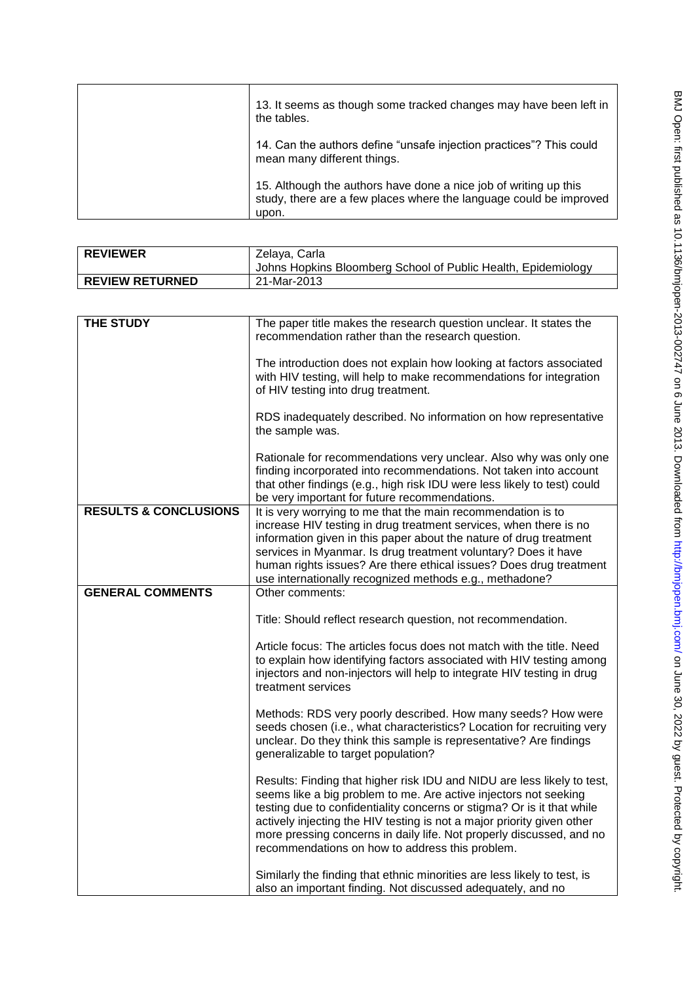| 13. It seems as though some tracked changes may have been left in<br>the tables.                                                                |
|-------------------------------------------------------------------------------------------------------------------------------------------------|
| 14. Can the authors define "unsafe injection practices"? This could<br>mean many different things.                                              |
| 15. Although the authors have done a nice job of writing up this<br>study, there are a few places where the language could be improved<br>upon. |

| <b>REVIEWER</b>        | Zelaya, Carla                                                 |
|------------------------|---------------------------------------------------------------|
|                        | Johns Hopkins Bloomberg School of Public Health, Epidemiology |
| <b>REVIEW RETURNED</b> | 21-Mar-2013                                                   |

| <b>THE STUDY</b>                 | The paper title makes the research question unclear. It states the                                                                                                                                                                                                                                                                                                                                                         |
|----------------------------------|----------------------------------------------------------------------------------------------------------------------------------------------------------------------------------------------------------------------------------------------------------------------------------------------------------------------------------------------------------------------------------------------------------------------------|
|                                  | recommendation rather than the research question.                                                                                                                                                                                                                                                                                                                                                                          |
|                                  | The introduction does not explain how looking at factors associated<br>with HIV testing, will help to make recommendations for integration<br>of HIV testing into drug treatment.                                                                                                                                                                                                                                          |
|                                  | RDS inadequately described. No information on how representative<br>the sample was.                                                                                                                                                                                                                                                                                                                                        |
|                                  | Rationale for recommendations very unclear. Also why was only one<br>finding incorporated into recommendations. Not taken into account<br>that other findings (e.g., high risk IDU were less likely to test) could<br>be very important for future recommendations.                                                                                                                                                        |
| <b>RESULTS &amp; CONCLUSIONS</b> | It is very worrying to me that the main recommendation is to                                                                                                                                                                                                                                                                                                                                                               |
|                                  | increase HIV testing in drug treatment services, when there is no<br>information given in this paper about the nature of drug treatment                                                                                                                                                                                                                                                                                    |
|                                  | services in Myanmar. Is drug treatment voluntary? Does it have                                                                                                                                                                                                                                                                                                                                                             |
|                                  | human rights issues? Are there ethical issues? Does drug treatment                                                                                                                                                                                                                                                                                                                                                         |
| <b>GENERAL COMMENTS</b>          | use internationally recognized methods e.g., methadone?<br>Other comments:                                                                                                                                                                                                                                                                                                                                                 |
|                                  |                                                                                                                                                                                                                                                                                                                                                                                                                            |
|                                  | Title: Should reflect research question, not recommendation.                                                                                                                                                                                                                                                                                                                                                               |
|                                  | Article focus: The articles focus does not match with the title. Need<br>to explain how identifying factors associated with HIV testing among<br>injectors and non-injectors will help to integrate HIV testing in drug<br>treatment services                                                                                                                                                                              |
|                                  | Methods: RDS very poorly described. How many seeds? How were<br>seeds chosen (i.e., what characteristics? Location for recruiting very<br>unclear. Do they think this sample is representative? Are findings<br>generalizable to target population?                                                                                                                                                                        |
|                                  | Results: Finding that higher risk IDU and NIDU are less likely to test,<br>seems like a big problem to me. Are active injectors not seeking<br>testing due to confidentiality concerns or stigma? Or is it that while<br>actively injecting the HIV testing is not a major priority given other<br>more pressing concerns in daily life. Not properly discussed, and no<br>recommendations on how to address this problem. |
|                                  | Similarly the finding that ethnic minorities are less likely to test, is<br>also an important finding. Not discussed adequately, and no                                                                                                                                                                                                                                                                                    |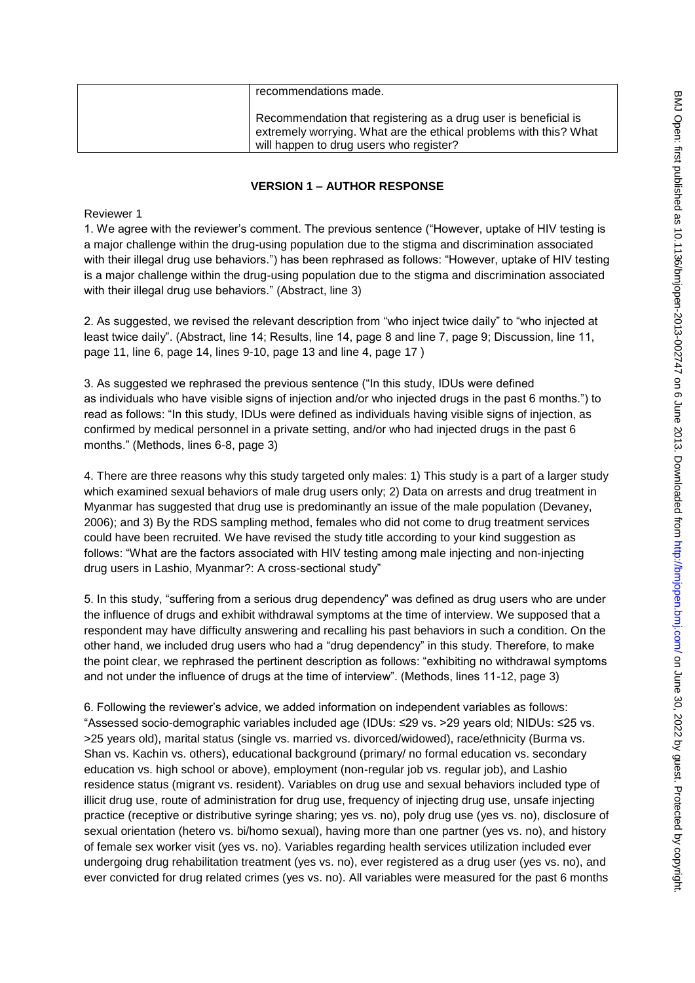| recommendations made.                                                                                                                                                           |
|---------------------------------------------------------------------------------------------------------------------------------------------------------------------------------|
| Recommendation that registering as a drug user is beneficial is<br>extremely worrying. What are the ethical problems with this? What<br>will happen to drug users who register? |

### **VERSION 1 – AUTHOR RESPONSE**

Reviewer 1

1. We agree with the reviewer's comment. The previous sentence ("However, uptake of HIV testing is a major challenge within the drug-using population due to the stigma and discrimination associated with their illegal drug use behaviors.") has been rephrased as follows: "However, uptake of HIV testing is a major challenge within the drug-using population due to the stigma and discrimination associated with their illegal drug use behaviors." (Abstract, line 3)

2. As suggested, we revised the relevant description from "who inject twice daily" to "who injected at least twice daily". (Abstract, line 14; Results, line 14, page 8 and line 7, page 9; Discussion, line 11, page 11, line 6, page 14, lines 9-10, page 13 and line 4, page 17 )

3. As suggested we rephrased the previous sentence ("In this study, IDUs were defined as individuals who have visible signs of injection and/or who injected drugs in the past 6 months.") to read as follows: "In this study, IDUs were defined as individuals having visible signs of injection, as confirmed by medical personnel in a private setting, and/or who had injected drugs in the past 6 months." (Methods, lines 6-8, page 3)

4. There are three reasons why this study targeted only males: 1) This study is a part of a larger study which examined sexual behaviors of male drug users only; 2) Data on arrests and drug treatment in Myanmar has suggested that drug use is predominantly an issue of the male population (Devaney, 2006); and 3) By the RDS sampling method, females who did not come to drug treatment services could have been recruited. We have revised the study title according to your kind suggestion as follows: "What are the factors associated with HIV testing among male injecting and non-injecting drug users in Lashio, Myanmar?: A cross-sectional study"

5. In this study, "suffering from a serious drug dependency" was defined as drug users who are under the influence of drugs and exhibit withdrawal symptoms at the time of interview. We supposed that a respondent may have difficulty answering and recalling his past behaviors in such a condition. On the other hand, we included drug users who had a "drug dependency" in this study. Therefore, to make the point clear, we rephrased the pertinent description as follows: "exhibiting no withdrawal symptoms and not under the influence of drugs at the time of interview". (Methods, lines 11-12, page 3)

6. Following the reviewer's advice, we added information on independent variables as follows: "Assessed socio-demographic variables included age (IDUs: ≤29 vs. >29 years old; NIDUs: ≤25 vs. >25 years old), marital status (single vs. married vs. divorced/widowed), race/ethnicity (Burma vs. Shan vs. Kachin vs. others), educational background (primary/ no formal education vs. secondary education vs. high school or above), employment (non-regular job vs. regular job), and Lashio residence status (migrant vs. resident). Variables on drug use and sexual behaviors included type of illicit drug use, route of administration for drug use, frequency of injecting drug use, unsafe injecting practice (receptive or distributive syringe sharing; yes vs. no), poly drug use (yes vs. no), disclosure of sexual orientation (hetero vs. bi/homo sexual), having more than one partner (yes vs. no), and history of female sex worker visit (yes vs. no). Variables regarding health services utilization included ever undergoing drug rehabilitation treatment (yes vs. no), ever registered as a drug user (yes vs. no), and ever convicted for drug related crimes (yes vs. no). All variables were measured for the past 6 months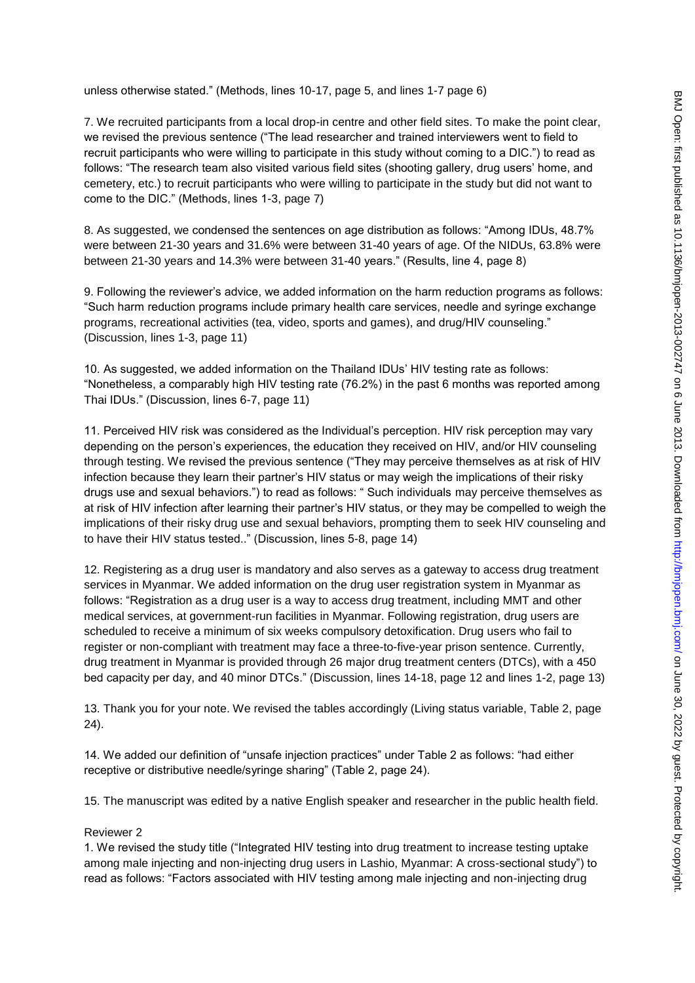unless otherwise stated." (Methods, lines 10-17, page 5, and lines 1-7 page 6)

7. We recruited participants from a local drop-in centre and other field sites. To make the point clear, we revised the previous sentence ("The lead researcher and trained interviewers went to field to recruit participants who were willing to participate in this study without coming to a DIC.") to read as follows: "The research team also visited various field sites (shooting gallery, drug users' home, and cemetery, etc.) to recruit participants who were willing to participate in the study but did not want to come to the DIC." (Methods, lines 1-3, page 7)

8. As suggested, we condensed the sentences on age distribution as follows: "Among IDUs, 48.7% were between 21-30 years and 31.6% were between 31-40 years of age. Of the NIDUs, 63.8% were between 21-30 years and 14.3% were between 31-40 years." (Results, line 4, page 8)

9. Following the reviewer's advice, we added information on the harm reduction programs as follows: "Such harm reduction programs include primary health care services, needle and syringe exchange programs, recreational activities (tea, video, sports and games), and drug/HIV counseling." (Discussion, lines 1-3, page 11)

10. As suggested, we added information on the Thailand IDUs' HIV testing rate as follows: "Nonetheless, a comparably high HIV testing rate (76.2%) in the past 6 months was reported among Thai IDUs." (Discussion, lines 6-7, page 11)

11. Perceived HIV risk was considered as the Individual's perception. HIV risk perception may vary depending on the person's experiences, the education they received on HIV, and/or HIV counseling through testing. We revised the previous sentence ("They may perceive themselves as at risk of HIV infection because they learn their partner's HIV status or may weigh the implications of their risky drugs use and sexual behaviors.") to read as follows: " Such individuals may perceive themselves as at risk of HIV infection after learning their partner's HIV status, or they may be compelled to weigh the implications of their risky drug use and sexual behaviors, prompting them to seek HIV counseling and to have their HIV status tested.." (Discussion, lines 5-8, page 14)

12. Registering as a drug user is mandatory and also serves as a gateway to access drug treatment services in Myanmar. We added information on the drug user registration system in Myanmar as follows: "Registration as a drug user is a way to access drug treatment, including MMT and other medical services, at government-run facilities in Myanmar. Following registration, drug users are scheduled to receive a minimum of six weeks compulsory detoxification. Drug users who fail to register or non-compliant with treatment may face a three-to-five-year prison sentence. Currently, drug treatment in Myanmar is provided through 26 major drug treatment centers (DTCs), with a 450 bed capacity per day, and 40 minor DTCs." (Discussion, lines 14-18, page 12 and lines 1-2, page 13)

13. Thank you for your note. We revised the tables accordingly (Living status variable, Table 2, page 24).

14. We added our definition of "unsafe injection practices" under Table 2 as follows: "had either receptive or distributive needle/syringe sharing" (Table 2, page 24).

15. The manuscript was edited by a native English speaker and researcher in the public health field.

#### Reviewer 2

1. We revised the study title ("Integrated HIV testing into drug treatment to increase testing uptake among male injecting and non-injecting drug users in Lashio, Myanmar: A cross-sectional study") to read as follows: "Factors associated with HIV testing among male injecting and non-injecting drug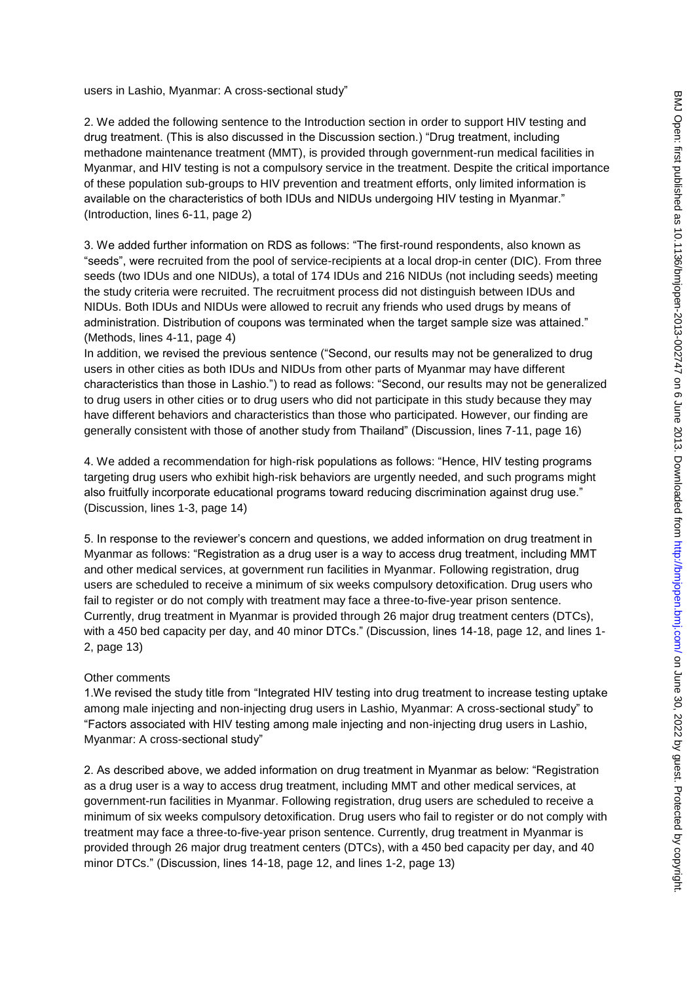users in Lashio, Myanmar: A cross-sectional study"

2. We added the following sentence to the Introduction section in order to support HIV testing and drug treatment. (This is also discussed in the Discussion section.) "Drug treatment, including methadone maintenance treatment (MMT), is provided through government-run medical facilities in Myanmar, and HIV testing is not a compulsory service in the treatment. Despite the critical importance of these population sub-groups to HIV prevention and treatment efforts, only limited information is available on the characteristics of both IDUs and NIDUs undergoing HIV testing in Myanmar." (Introduction, lines 6-11, page 2)

3. We added further information on RDS as follows: "The first-round respondents, also known as "seeds", were recruited from the pool of service-recipients at a local drop-in center (DIC). From three seeds (two IDUs and one NIDUs), a total of 174 IDUs and 216 NIDUs (not including seeds) meeting the study criteria were recruited. The recruitment process did not distinguish between IDUs and NIDUs. Both IDUs and NIDUs were allowed to recruit any friends who used drugs by means of administration. Distribution of coupons was terminated when the target sample size was attained." (Methods, lines 4-11, page 4)

In addition, we revised the previous sentence ("Second, our results may not be generalized to drug users in other cities as both IDUs and NIDUs from other parts of Myanmar may have different characteristics than those in Lashio.") to read as follows: "Second, our results may not be generalized to drug users in other cities or to drug users who did not participate in this study because they may have different behaviors and characteristics than those who participated. However, our finding are generally consistent with those of another study from Thailand" (Discussion, lines 7-11, page 16)

4. We added a recommendation for high-risk populations as follows: "Hence, HIV testing programs targeting drug users who exhibit high-risk behaviors are urgently needed, and such programs might also fruitfully incorporate educational programs toward reducing discrimination against drug use." (Discussion, lines 1-3, page 14)

5. In response to the reviewer's concern and questions, we added information on drug treatment in Myanmar as follows: "Registration as a drug user is a way to access drug treatment, including MMT and other medical services, at government run facilities in Myanmar. Following registration, drug users are scheduled to receive a minimum of six weeks compulsory detoxification. Drug users who fail to register or do not comply with treatment may face a three-to-five-year prison sentence. Currently, drug treatment in Myanmar is provided through 26 major drug treatment centers (DTCs), with a 450 bed capacity per day, and 40 minor DTCs." (Discussion, lines 14-18, page 12, and lines 1-2, page 13)

#### Other comments

1.We revised the study title from "Integrated HIV testing into drug treatment to increase testing uptake among male injecting and non-injecting drug users in Lashio, Myanmar: A cross-sectional study" to "Factors associated with HIV testing among male injecting and non-injecting drug users in Lashio, Myanmar: A cross-sectional study"

2. As described above, we added information on drug treatment in Myanmar as below: "Registration as a drug user is a way to access drug treatment, including MMT and other medical services, at government-run facilities in Myanmar. Following registration, drug users are scheduled to receive a minimum of six weeks compulsory detoxification. Drug users who fail to register or do not comply with treatment may face a three-to-five-year prison sentence. Currently, drug treatment in Myanmar is provided through 26 major drug treatment centers (DTCs), with a 450 bed capacity per day, and 40 minor DTCs." (Discussion, lines 14-18, page 12, and lines 1-2, page 13)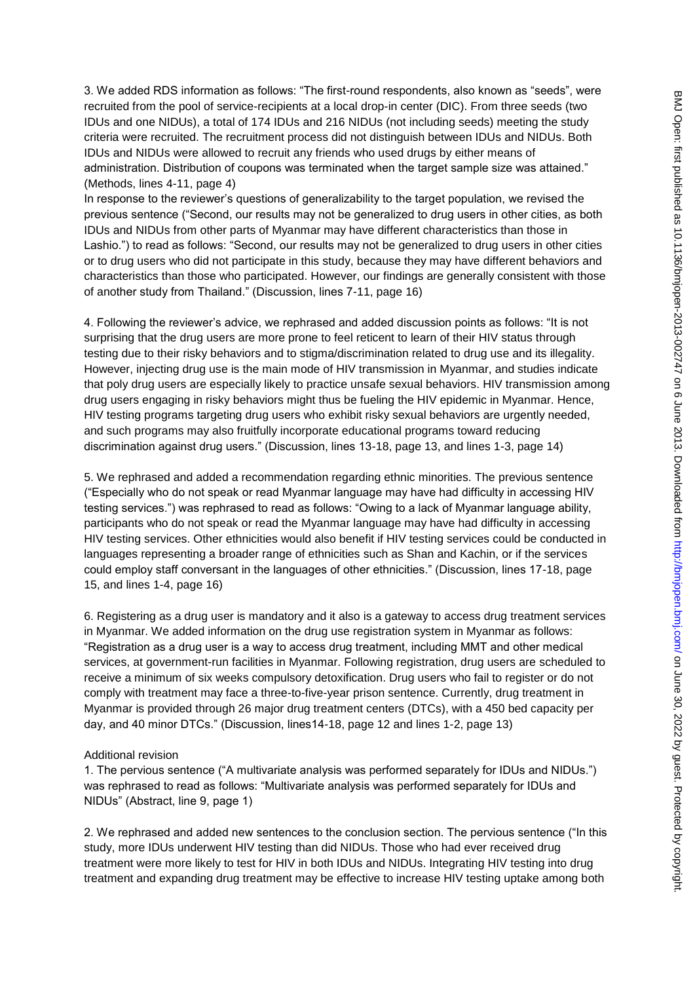3. We added RDS information as follows: "The first-round respondents, also known as "seeds", were recruited from the pool of service-recipients at a local drop-in center (DIC). From three seeds (two IDUs and one NIDUs), a total of 174 IDUs and 216 NIDUs (not including seeds) meeting the study criteria were recruited. The recruitment process did not distinguish between IDUs and NIDUs. Both IDUs and NIDUs were allowed to recruit any friends who used drugs by either means of administration. Distribution of coupons was terminated when the target sample size was attained." (Methods, lines 4-11, page 4)

In response to the reviewer's questions of generalizability to the target population, we revised the previous sentence ("Second, our results may not be generalized to drug users in other cities, as both IDUs and NIDUs from other parts of Myanmar may have different characteristics than those in Lashio.") to read as follows: "Second, our results may not be generalized to drug users in other cities or to drug users who did not participate in this study, because they may have different behaviors and characteristics than those who participated. However, our findings are generally consistent with those of another study from Thailand." (Discussion, lines 7-11, page 16)

4. Following the reviewer's advice, we rephrased and added discussion points as follows: "It is not surprising that the drug users are more prone to feel reticent to learn of their HIV status through testing due to their risky behaviors and to stigma/discrimination related to drug use and its illegality. However, injecting drug use is the main mode of HIV transmission in Myanmar, and studies indicate that poly drug users are especially likely to practice unsafe sexual behaviors. HIV transmission among drug users engaging in risky behaviors might thus be fueling the HIV epidemic in Myanmar. Hence, HIV testing programs targeting drug users who exhibit risky sexual behaviors are urgently needed, and such programs may also fruitfully incorporate educational programs toward reducing discrimination against drug users." (Discussion, lines 13-18, page 13, and lines 1-3, page 14)

5. We rephrased and added a recommendation regarding ethnic minorities. The previous sentence ("Especially who do not speak or read Myanmar language may have had difficulty in accessing HIV testing services.") was rephrased to read as follows: "Owing to a lack of Myanmar language ability, participants who do not speak or read the Myanmar language may have had difficulty in accessing HIV testing services. Other ethnicities would also benefit if HIV testing services could be conducted in languages representing a broader range of ethnicities such as Shan and Kachin, or if the services could employ staff conversant in the languages of other ethnicities." (Discussion, lines 17-18, page 15, and lines 1-4, page 16)

6. Registering as a drug user is mandatory and it also is a gateway to access drug treatment services in Myanmar. We added information on the drug use registration system in Myanmar as follows: "Registration as a drug user is a way to access drug treatment, including MMT and other medical services, at government-run facilities in Myanmar. Following registration, drug users are scheduled to receive a minimum of six weeks compulsory detoxification. Drug users who fail to register or do not comply with treatment may face a three-to-five-year prison sentence. Currently, drug treatment in Myanmar is provided through 26 major drug treatment centers (DTCs), with a 450 bed capacity per day, and 40 minor DTCs." (Discussion, lines14-18, page 12 and lines 1-2, page 13)

#### Additional revision

1. The pervious sentence ("A multivariate analysis was performed separately for IDUs and NIDUs.") was rephrased to read as follows: "Multivariate analysis was performed separately for IDUs and NIDUs" (Abstract, line 9, page 1)

2. We rephrased and added new sentences to the conclusion section. The pervious sentence ("In this study, more IDUs underwent HIV testing than did NIDUs. Those who had ever received drug treatment were more likely to test for HIV in both IDUs and NIDUs. Integrating HIV testing into drug treatment and expanding drug treatment may be effective to increase HIV testing uptake among both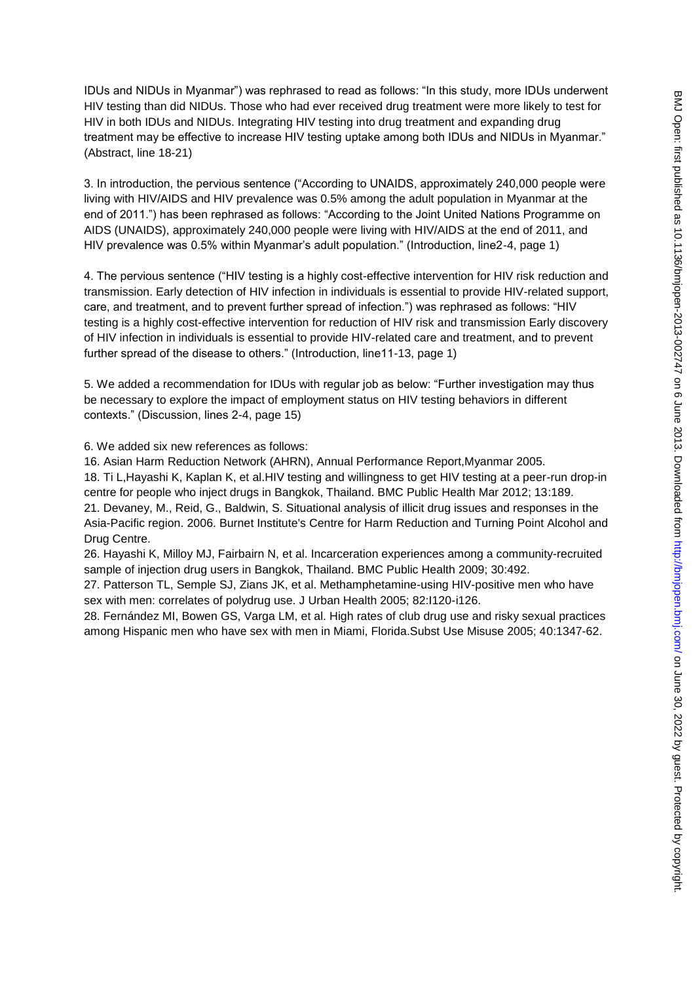IDUs and NIDUs in Myanmar") was rephrased to read as follows: "In this study, more IDUs underwent HIV testing than did NIDUs. Those who had ever received drug treatment were more likely to test for HIV in both IDUs and NIDUs. Integrating HIV testing into drug treatment and expanding drug treatment may be effective to increase HIV testing uptake among both IDUs and NIDUs in Myanmar." (Abstract, line 18-21)

3. In introduction, the pervious sentence ("According to UNAIDS, approximately 240,000 people were living with HIV/AIDS and HIV prevalence was 0.5% among the adult population in Myanmar at the end of 2011.") has been rephrased as follows: "According to the Joint United Nations Programme on AIDS (UNAIDS), approximately 240,000 people were living with HIV/AIDS at the end of 2011, and HIV prevalence was 0.5% within Myanmar's adult population." (Introduction, line2-4, page 1)

4. The pervious sentence ("HIV testing is a highly cost-effective intervention for HIV risk reduction and transmission. Early detection of HIV infection in individuals is essential to provide HIV-related support, care, and treatment, and to prevent further spread of infection.") was rephrased as follows: "HIV testing is a highly cost-effective intervention for reduction of HIV risk and transmission Early discovery of HIV infection in individuals is essential to provide HIV-related care and treatment, and to prevent further spread of the disease to others." (Introduction, line11-13, page 1)

5. We added a recommendation for IDUs with regular job as below: "Further investigation may thus be necessary to explore the impact of employment status on HIV testing behaviors in different contexts." (Discussion, lines 2-4, page 15)

6. We added six new references as follows:

16. Asian Harm Reduction Network (AHRN), Annual Performance Report,Myanmar 2005.

18. Ti L,Hayashi K, Kaplan K, et al.HIV testing and willingness to get HIV testing at a peer-run drop-in centre for people who inject drugs in Bangkok, Thailand. BMC Public Health Mar 2012; 13:189. 21. Devaney, M., Reid, G., Baldwin, S. Situational analysis of illicit drug issues and responses in the Asia-Pacific region. 2006. Burnet Institute's Centre for Harm Reduction and Turning Point Alcohol and Drug Centre.

26. Hayashi K, Milloy MJ, Fairbairn N, et al. Incarceration experiences among a community-recruited sample of injection drug users in Bangkok, Thailand. BMC Public Health 2009; 30:492.

27. Patterson TL, Semple SJ, Zians JK, et al. Methamphetamine-using HIV-positive men who have sex with men: correlates of polydrug use. J Urban Health 2005; 82:I120-i126.

28. Fernández MI, Bowen GS, Varga LM, et al. High rates of club drug use and risky sexual practices among Hispanic men who have sex with men in Miami, Florida.Subst Use Misuse 2005; 40:1347-62.